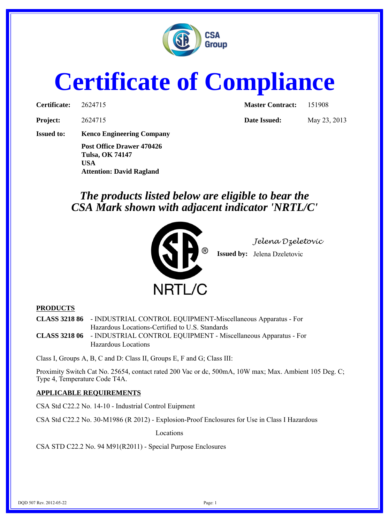

## **Certificate of Compliance**

| Certificate: | 262471 |
|--------------|--------|
|              |        |

**Certificate:** 2624715 **Master Contract:** 251908

**Project:** 2624715 **Date Issued:** May 23, 2013

**Issued to: Kenco Engineering Company**

**Post Office Drawer 470426 Tulsa, OK 74147 USA Attention: David Ragland**

## *The products listed below are eligible to bear the CSA Mark shown with adjacent indicator 'NRTL/C'*



*Jelena Dzeletovic*

**Issued by:** Jelena Dzeletovic

## **PRODUCTS**

**CLASS 3218 86** - INDUSTRIAL CONTROL EQUIPMENT-Miscellaneous Apparatus - For Hazardous Locations-Certified to U.S. Standards

**CLASS 3218 06** - INDUSTRIAL CONTROL EQUIPMENT - Miscellaneous Apparatus - For Hazardous Locations

Class I, Groups A, B, C and D: Class II, Groups E, F and G; Class III:

Proximity Switch Cat No. 25654, contact rated 200 Vac or dc, 500mA, 10W max; Max. Ambient 105 Deg. C; Type 4, Temperature Code T4A.

## **APPLICABLE REQUIREMENTS**

CSA Std C22.2 No. 14-10 - Industrial Control Euipment

CSA Std C22.2 No. 30-M1986 (R 2012) - Explosion-Proof Enclosures for Use in Class I Hazardous

Locations

CSA STD C22.2 No. 94 M91(R2011) - Special Purpose Enclosures